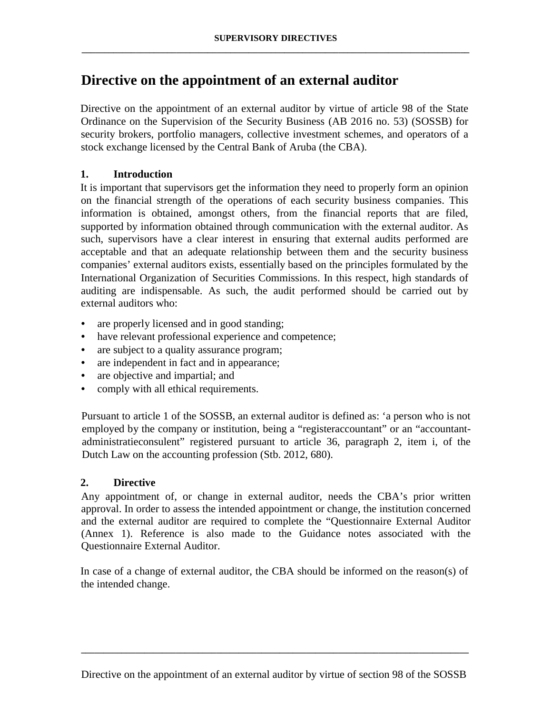# **Directive on the appointment of an external auditor**

Directive on the appointment of an external auditor by virtue of article 98 of the State Ordinance on the Supervision of the Security Business (AB 2016 no. 53) (SOSSB) for security brokers, portfolio managers, collective investment schemes, and operators of a stock exchange licensed by the Central Bank of Aruba (the CBA).

## **1. Introduction**

It is important that supervisors get the information they need to properly form an opinion on the financial strength of the operations of each security business companies. This information is obtained, amongst others, from the financial reports that are filed, supported by information obtained through communication with the external auditor. As such, supervisors have a clear interest in ensuring that external audits performed are acceptable and that an adequate relationship between them and the security business companies' external auditors exists, essentially based on the principles formulated by the International Organization of Securities Commissions. In this respect, high standards of auditing are indispensable. As such, the audit performed should be carried out by external auditors who:

- are properly licensed and in good standing;
- have relevant professional experience and competence;
- are subject to a quality assurance program;
- are independent in fact and in appearance;
- are objective and impartial; and
- comply with all ethical requirements.

Pursuant to article 1 of the SOSSB, an external auditor is defined as: 'a person who is not employed by the company or institution, being a "registeraccountant" or an "accountantadministratieconsulent" registered pursuant to article 36, paragraph 2, item i, of the Dutch Law on the accounting profession (Stb. 2012, 680).

## **2. Directive**

Any appointment of, or change in external auditor, needs the CBA's prior written approval. In order to assess the intended appointment or change, the institution concerned and the external auditor are required to complete the "Questionnaire External Auditor (Annex 1). Reference is also made to the Guidance notes associated with the Questionnaire External Auditor.

In case of a change of external auditor, the CBA should be informed on the reason(s) of the intended change.

**\_\_\_\_\_\_\_\_\_\_\_\_\_\_\_\_\_\_\_\_\_\_\_\_\_\_\_\_\_\_\_\_\_\_\_\_\_\_\_\_\_\_\_\_\_\_\_\_\_\_\_\_\_\_\_\_\_\_\_\_\_\_\_\_\_\_\_\_\_\_\_\_\_\_\_\_\_\_\_\_\_\_\_\_\_\_**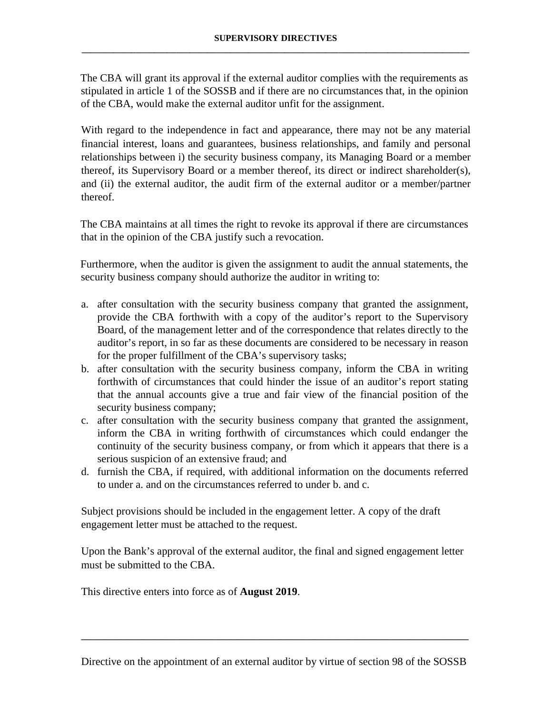The CBA will grant its approval if the external auditor complies with the requirements as stipulated in article 1 of the SOSSB and if there are no circumstances that, in the opinion of the CBA, would make the external auditor unfit for the assignment.

With regard to the independence in fact and appearance, there may not be any material financial interest, loans and guarantees, business relationships, and family and personal relationships between i) the security business company, its Managing Board or a member thereof, its Supervisory Board or a member thereof, its direct or indirect shareholder(s), and (ii) the external auditor, the audit firm of the external auditor or a member/partner thereof.

The CBA maintains at all times the right to revoke its approval if there are circumstances that in the opinion of the CBA justify such a revocation.

Furthermore, when the auditor is given the assignment to audit the annual statements, the security business company should authorize the auditor in writing to:

- a. after consultation with the security business company that granted the assignment, provide the CBA forthwith with a copy of the auditor's report to the Supervisory Board, of the management letter and of the correspondence that relates directly to the auditor's report, in so far as these documents are considered to be necessary in reason for the proper fulfillment of the CBA's supervisory tasks;
- b. after consultation with the security business company, inform the CBA in writing forthwith of circumstances that could hinder the issue of an auditor's report stating that the annual accounts give a true and fair view of the financial position of the security business company;
- c. after consultation with the security business company that granted the assignment, inform the CBA in writing forthwith of circumstances which could endanger the continuity of the security business company, or from which it appears that there is a serious suspicion of an extensive fraud; and
- d. furnish the CBA, if required, with additional information on the documents referred to under a. and on the circumstances referred to under b. and c.

Subject provisions should be included in the engagement letter. A copy of the draft engagement letter must be attached to the request.

Upon the Bank's approval of the external auditor, the final and signed engagement letter must be submitted to the CBA.

This directive enters into force as of **August 2019**.

**\_\_\_\_\_\_\_\_\_\_\_\_\_\_\_\_\_\_\_\_\_\_\_\_\_\_\_\_\_\_\_\_\_\_\_\_\_\_\_\_\_\_\_\_\_\_\_\_\_\_\_\_\_\_\_\_\_\_\_\_\_\_\_\_\_\_\_\_\_\_\_\_\_\_\_\_\_\_\_\_\_\_\_\_\_\_**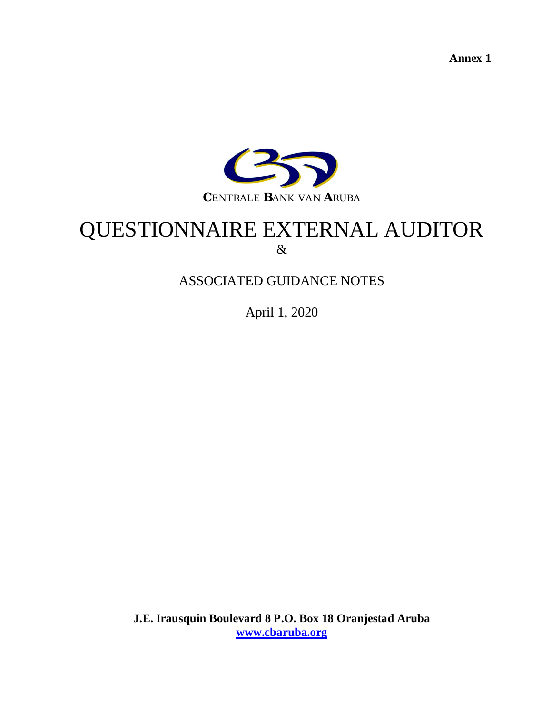**Annex 1**



# QUESTIONNAIRE EXTERNAL AUDITOR &

# ASSOCIATED GUIDANCE NOTES

April 1, 2020

**J.E. Irausquin Boulevard 8 P.O. Box 18 Oranjestad Aruba [www.cbaruba.org](http://www.cbaruba.org/)**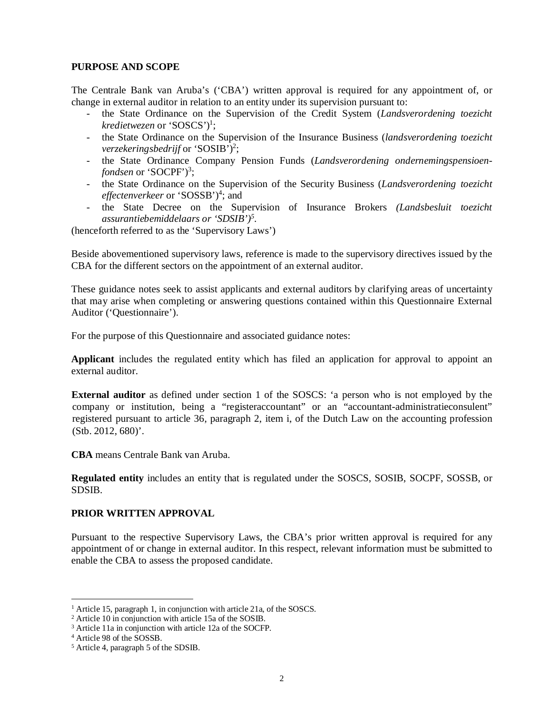#### **PURPOSE AND SCOPE**

The Centrale Bank van Aruba's ('CBA') written approval is required for any appointment of, or change in external auditor in relation to an entity under its supervision pursuant to:

- the State Ordinance on the Supervision of the Credit System (*Landsverordening toezicht* kredietwezen or 'SOSCS')<sup>1</sup>;
- the State Ordinance on the Supervision of the Insurance Business (*landsverordening toezicht* verzekeringsbedrijf or 'SOSIB'<sup>7</sup>?;
- the State Ordinance Company Pension Funds (*Landsverordening ondernemingspensioenfondsen* or 'SOCPF')<sup>3</sup>;
- the State Ordinance on the Supervision of the Security Business (*Landsverordening toezicht* effectenverkeer or 'SOSSB')<sup>4</sup>; and
- the State Decree on the Supervision of Insurance Brokers *(Landsbesluit toezicht assurantiebemiddelaars or 'SDSIB')<sup>5</sup> .*

(henceforth referred to as the 'Supervisory Laws')

Beside abovementioned supervisory laws, reference is made to the supervisory directives issued by the CBA for the different sectors on the appointment of an external auditor.

These guidance notes seek to assist applicants and external auditors by clarifying areas of uncertainty that may arise when completing or answering questions contained within this Questionnaire External Auditor ('Questionnaire').

For the purpose of this Questionnaire and associated guidance notes:

**Applicant** includes the regulated entity which has filed an application for approval to appoint an external auditor.

**External auditor** as defined under section 1 of the SOSCS: 'a person who is not employed by the company or institution, being a "registeraccountant" or an "accountant-administratieconsulent" registered pursuant to article 36, paragraph 2, item i, of the Dutch Law on the accounting profession (Stb. 2012, 680)'.

**CBA** means Centrale Bank van Aruba.

**Regulated entity** includes an entity that is regulated under the SOSCS, SOSIB, SOCPF, SOSSB, or SDSIB.

#### **PRIOR WRITTEN APPROVAL**

Pursuant to the respective Supervisory Laws, the CBA's prior written approval is required for any appointment of or change in external auditor. In this respect, relevant information must be submitted to enable the CBA to assess the proposed candidate.

<sup>&</sup>lt;sup>1</sup> Article 15, paragraph 1, in conjunction with article 21a, of the SOSCS.

<sup>2</sup> Article 10 in conjunction with article 15a of the SOSIB.

<sup>&</sup>lt;sup>3</sup> Article 11a in conjunction with article 12a of the SOCFP.

<sup>4</sup> Article 98 of the SOSSB.

<sup>5</sup> Article 4, paragraph 5 of the SDSIB.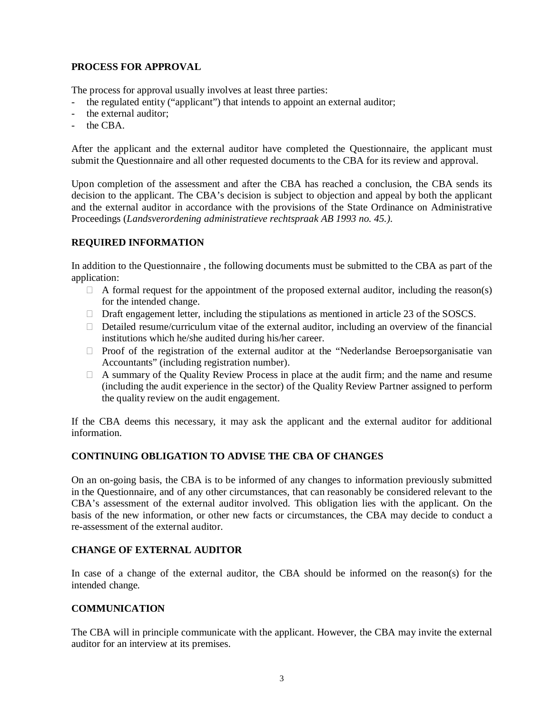## **PROCESS FOR APPROVAL**

The process for approval usually involves at least three parties:

- the regulated entity ("applicant") that intends to appoint an external auditor;
- the external auditor:
- the CBA.

After the applicant and the external auditor have completed the Questionnaire, the applicant must submit the Questionnaire and all other requested documents to the CBA for its review and approval.

Upon completion of the assessment and after the CBA has reached a conclusion, the CBA sends its decision to the applicant. The CBA's decision is subject to objection and appeal by both the applicant and the external auditor in accordance with the provisions of the State Ordinance on Administrative Proceedings (*Landsverordening administratieve rechtspraak AB 1993 no. 45.).*

## **REQUIRED INFORMATION**

In addition to the Questionnaire , the following documents must be submitted to the CBA as part of the application:

- $\Box$  A formal request for the appointment of the proposed external auditor, including the reason(s) for the intended change.
- $\Box$  Draft engagement letter, including the stipulations as mentioned in article 23 of the SOSCS.
- $\Box$  Detailed resume/curriculum vitae of the external auditor, including an overview of the financial institutions which he/she audited during his/her career.
- $\Box$  Proof of the registration of the external auditor at the "Nederlandse Beroepsorganisatie van Accountants" (including registration number).
- $\Box$  A summary of the Quality Review Process in place at the audit firm; and the name and resume (including the audit experience in the sector) of the Quality Review Partner assigned to perform the quality review on the audit engagement.

If the CBA deems this necessary, it may ask the applicant and the external auditor for additional information.

## **CONTINUING OBLIGATION TO ADVISE THE CBA OF CHANGES**

On an on-going basis, the CBA is to be informed of any changes to information previously submitted in the Questionnaire, and of any other circumstances, that can reasonably be considered relevant to the CBA's assessment of the external auditor involved. This obligation lies with the applicant. On the basis of the new information, or other new facts or circumstances, the CBA may decide to conduct a re-assessment of the external auditor.

## **CHANGE OF EXTERNAL AUDITOR**

In case of a change of the external auditor, the CBA should be informed on the reason(s) for the intended change.

#### **COMMUNICATION**

The CBA will in principle communicate with the applicant. However, the CBA may invite the external auditor for an interview at its premises.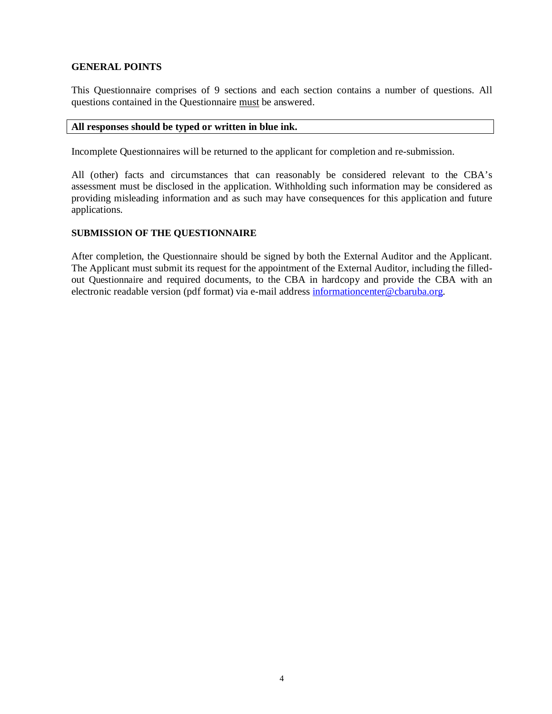## **GENERAL POINTS**

This Questionnaire comprises of 9 sections and each section contains a number of questions. All questions contained in the Questionnaire must be answered.

#### **All responses should be typed or written in blue ink.**

Incomplete Questionnaires will be returned to the applicant for completion and re-submission.

All (other) facts and circumstances that can reasonably be considered relevant to the CBA's assessment must be disclosed in the application. Withholding such information may be considered as providing misleading information and as such may have consequences for this application and future applications.

#### **SUBMISSION OF THE QUESTIONNAIRE**

After completion, the Questionnaire should be signed by both the External Auditor and the Applicant. The Applicant must submit its request for the appointment of the External Auditor, including the filledout Questionnaire and required documents, to the CBA in hardcopy and provide the CBA with an electronic readable version (pdf format) via e-mail address informationcenter@cbaruba.org.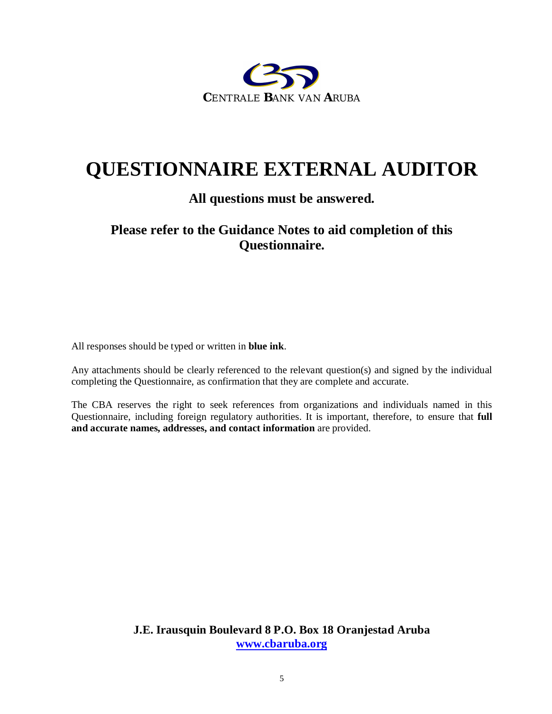

# **QUESTIONNAIRE EXTERNAL AUDITOR**

## **All questions must be answered.**

## **Please refer to the Guidance Notes to aid completion of this Questionnaire.**

All responses should be typed or written in **blue ink**.

Any attachments should be clearly referenced to the relevant question(s) and signed by the individual completing the Questionnaire, as confirmation that they are complete and accurate.

The CBA reserves the right to seek references from organizations and individuals named in this Questionnaire, including foreign regulatory authorities. It is important, therefore, to ensure that **full and accurate names, addresses, and contact information** are provided.

> **J.E. Irausquin Boulevard 8 P.O. Box 18 Oranjestad Aruba [www.cbaruba.org](http://www.cbaruba.org/)**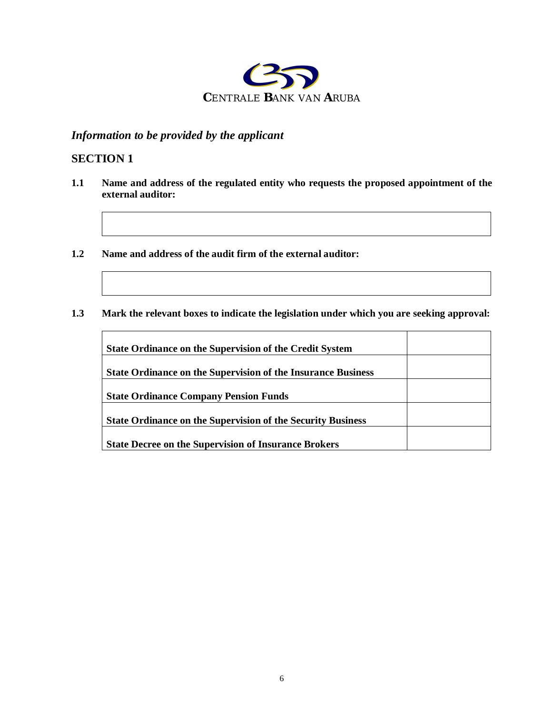

## *Information to be provided by the applicant*

## **SECTION 1**

- **1.1 Name and address of the regulated entity who requests the proposed appointment of the external auditor:**
- **1.2 Name and address of the audit firm of the external auditor:**
- **1.3 Mark the relevant boxes to indicate the legislation under which you are seeking approval:**

| <b>State Ordinance on the Supervision of the Credit System</b>      |  |
|---------------------------------------------------------------------|--|
| <b>State Ordinance on the Supervision of the Insurance Business</b> |  |
| <b>State Ordinance Company Pension Funds</b>                        |  |
|                                                                     |  |
| <b>State Ordinance on the Supervision of the Security Business</b>  |  |
| <b>State Decree on the Supervision of Insurance Brokers</b>         |  |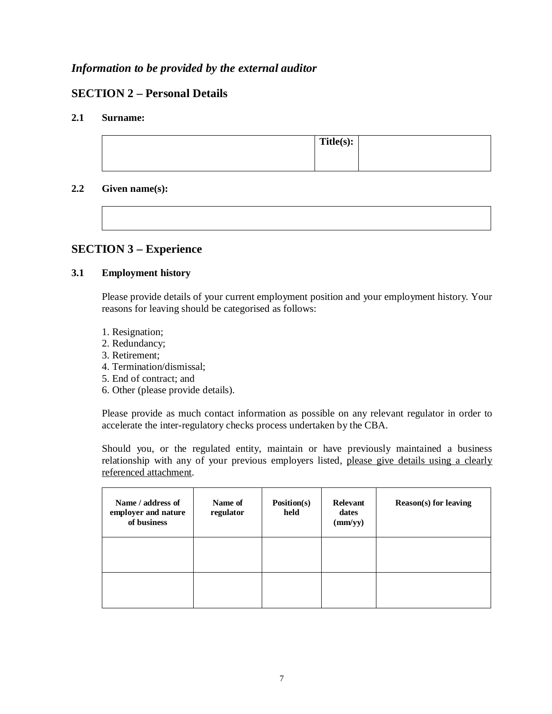## *Information to be provided by the external auditor*

## **SECTION 2 – Personal Details**

## **2.1 Surname:**

| Title(s): |  |
|-----------|--|
|           |  |
|           |  |
|           |  |

## **2.2 Given name(s):**

## **SECTION 3 – Experience**

## **3.1 Employment history**

Please provide details of your current employment position and your employment history. Your reasons for leaving should be categorised as follows:

- 1. Resignation;
- 2. Redundancy;
- 3. Retirement;
- 4. Termination/dismissal;
- 5. End of contract; and
- 6. Other (please provide details).

Please provide as much contact information as possible on any relevant regulator in order to accelerate the inter-regulatory checks process undertaken by the CBA.

Should you, or the regulated entity, maintain or have previously maintained a business relationship with any of your previous employers listed, please give details using a clearly referenced attachment.

| Name / address of<br>employer and nature<br>of business | Name of<br>regulator | Position(s)<br>held | Relevant<br>dates<br>(mm/yy) | <b>Reason(s)</b> for leaving |
|---------------------------------------------------------|----------------------|---------------------|------------------------------|------------------------------|
|                                                         |                      |                     |                              |                              |
|                                                         |                      |                     |                              |                              |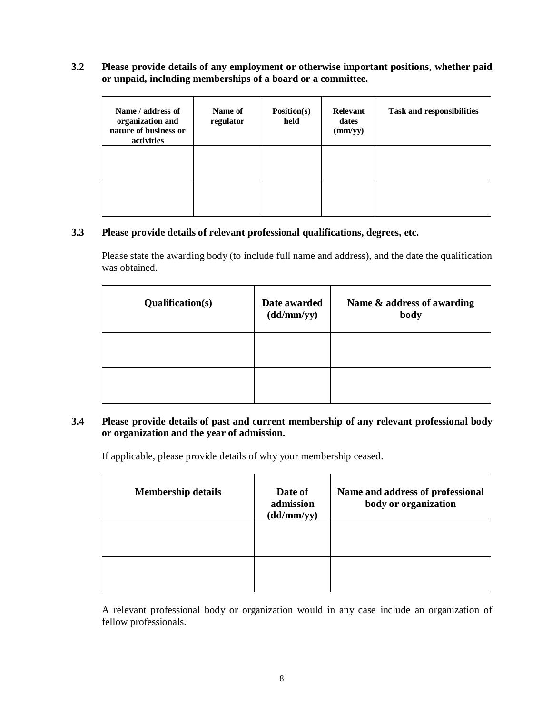## **3.2 Please provide details of any employment or otherwise important positions, whether paid or unpaid, including memberships of a board or a committee.**

| Name / address of<br>organization and<br>nature of business or<br>activities | Name of<br>regulator | Position(s)<br>held | Relevant<br>dates<br>(mm/yy) | <b>Task and responsibilities</b> |
|------------------------------------------------------------------------------|----------------------|---------------------|------------------------------|----------------------------------|
|                                                                              |                      |                     |                              |                                  |
|                                                                              |                      |                     |                              |                                  |

#### **3.3 Please provide details of relevant professional qualifications, degrees, etc.**

Please state the awarding body (to include full name and address), and the date the qualification was obtained.

| <b>Qualification(s)</b> | Date awarded<br>(dd/mm/yy) | Name & address of awarding<br>body |
|-------------------------|----------------------------|------------------------------------|
|                         |                            |                                    |
|                         |                            |                                    |

## **3.4 Please provide details of past and current membership of any relevant professional body or organization and the year of admission.**

If applicable, please provide details of why your membership ceased.

| <b>Membership details</b> | Date of<br>admission<br>(dd/mm/yy) | Name and address of professional<br>body or organization |
|---------------------------|------------------------------------|----------------------------------------------------------|
|                           |                                    |                                                          |
|                           |                                    |                                                          |

A relevant professional body or organization would in any case include an organization of fellow professionals.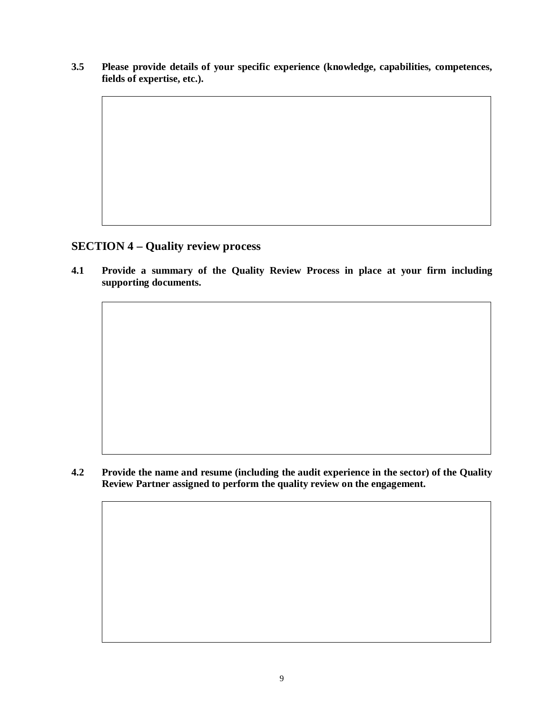**3.5 Please provide details of your specific experience (knowledge, capabilities, competences, fields of expertise, etc.).**

## **SECTION 4 – Quality review process**

**4.1 Provide a summary of the Quality Review Process in place at your firm including supporting documents.**

**4.2 Provide the name and resume (including the audit experience in the sector) of the Quality Review Partner assigned to perform the quality review on the engagement.**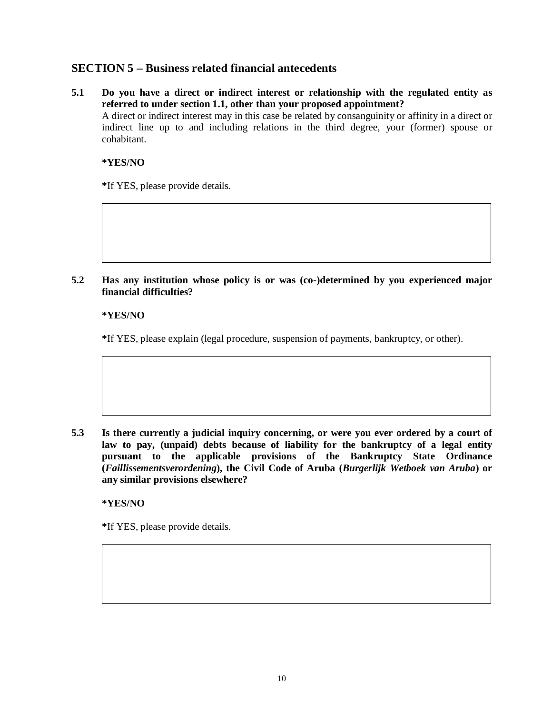## **SECTION 5 – Business related financial antecedents**

**5.1 Do you have a direct or indirect interest or relationship with the regulated entity as referred to under section 1.1, other than your proposed appointment?** A direct or indirect interest may in this case be related by consanguinity or affinity in a direct or indirect line up to and including relations in the third degree, your (former) spouse or cohabitant.

### **\*YES/NO**

**\***If YES, please provide details.

### **5.2 Has any institution whose policy is or was (co-)determined by you experienced major financial difficulties?**

#### **\*YES/NO**

**\***If YES, please explain (legal procedure, suspension of payments, bankruptcy, or other).

**5.3 Is there currently a judicial inquiry concerning, or were you ever ordered by a court of law to pay, (unpaid) debts because of liability for the bankruptcy of a legal entity pursuant to the applicable provisions of the Bankruptcy State Ordinance (***Faillissementsverordening***), the Civil Code of Aruba (***Burgerlijk Wetboek van Aruba***) or any similar provisions elsewhere?**

#### **\*YES/NO**

**\***If YES, please provide details.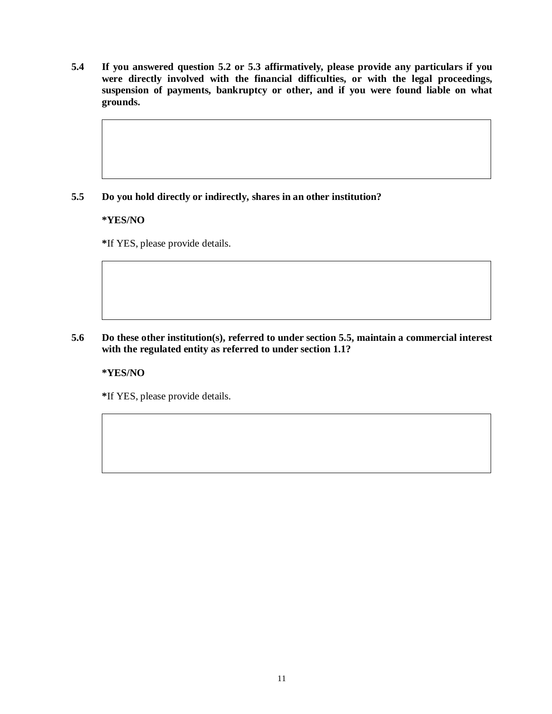**5.4 If you answered question 5.2 or 5.3 affirmatively, please provide any particulars if you were directly involved with the financial difficulties, or with the legal proceedings, suspension of payments, bankruptcy or other, and if you were found liable on what grounds.**

## **5.5 Do you hold directly or indirectly, shares in an other institution?**

#### **\*YES/NO**

**\***If YES, please provide details.

## **5.6 Do these other institution(s), referred to under section 5.5, maintain a commercial interest with the regulated entity as referred to under section 1.1?**

#### **\*YES/NO**

**\***If YES, please provide details.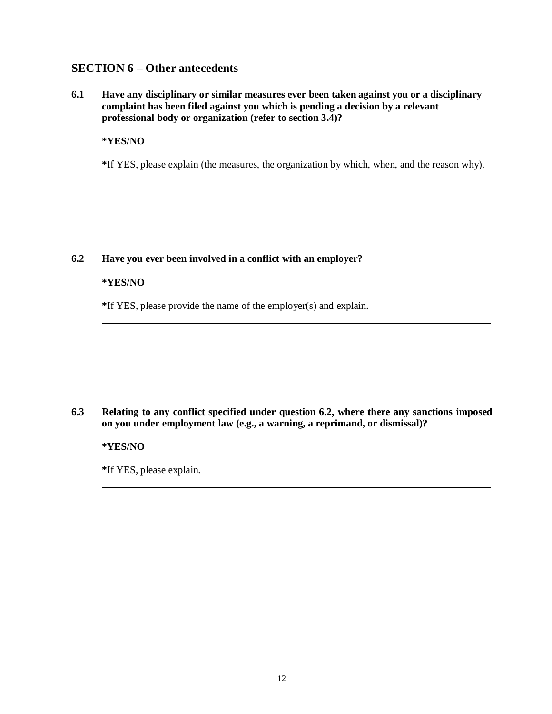## **SECTION 6 – Other antecedents**

**6.1 Have any disciplinary or similar measures ever been taken against you or a disciplinary complaint has been filed against you which is pending a decision by a relevant professional body or organization (refer to section 3.4)?**

## **\*YES/NO**

**\***If YES, please explain (the measures, the organization by which, when, and the reason why).

## **6.2 Have you ever been involved in a conflict with an employer?**

## **\*YES/NO**

**\***If YES, please provide the name of the employer(s) and explain.

## **6.3 Relating to any conflict specified under question 6.2, where there any sanctions imposed on you under employment law (e.g., a warning, a reprimand, or dismissal)?**

**\*YES/NO**

**\***If YES, please explain.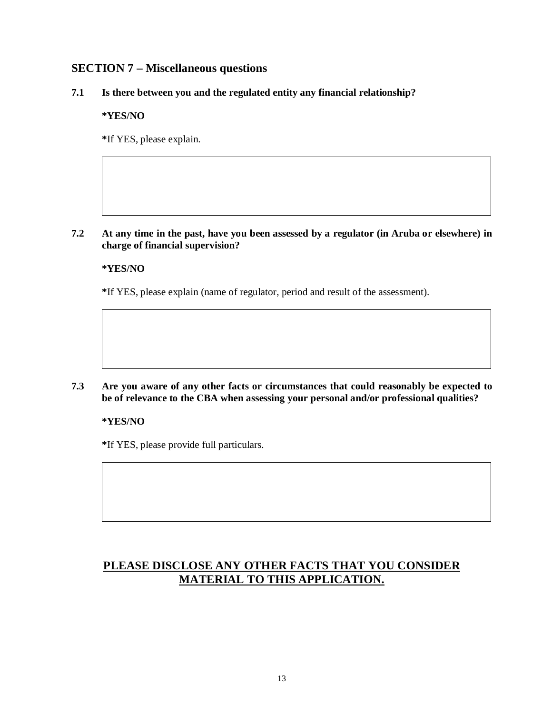## **SECTION 7 – Miscellaneous questions**

**7.1 Is there between you and the regulated entity any financial relationship?**

**\*YES/NO**

**\***If YES, please explain.

**7.2 At any time in the past, have you been assessed by a regulator (in Aruba or elsewhere) in charge of financial supervision?**

## **\*YES/NO**

**\***If YES, please explain (name of regulator, period and result of the assessment).

**7.3 Are you aware of any other facts or circumstances that could reasonably be expected to be of relevance to the CBA when assessing your personal and/or professional qualities?**

## **\*YES/NO**

**\***If YES, please provide full particulars.

## **PLEASE DISCLOSE ANY OTHER FACTS THAT YOU CONSIDER MATERIAL TO THIS APPLICATION.**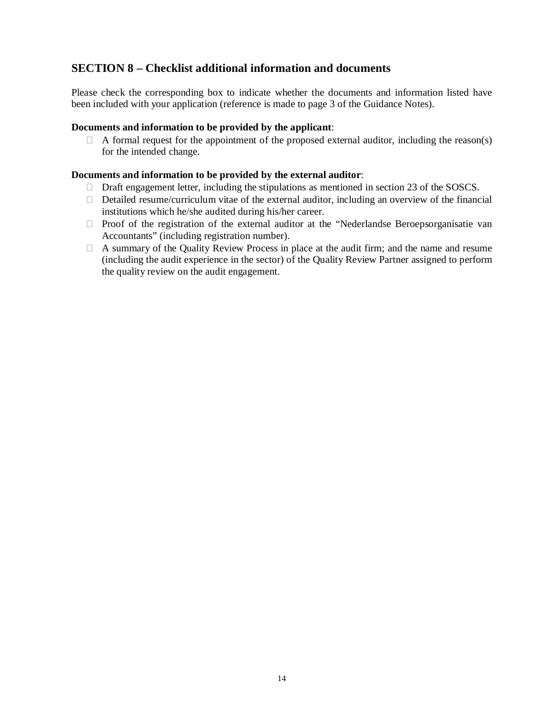## **SECTION 8 – Checklist additional information and documents**

Please check the corresponding box to indicate whether the documents and information listed have been included with your application (reference is made to page 3 of the Guidance Notes).

#### **Documents and information to be provided by the applicant**:

 $\Box$  A formal request for the appointment of the proposed external auditor, including the reason(s) for the intended change.

#### **Documents and information to be provided by the external auditor**:

- $\Box$  Draft engagement letter, including the stipulations as mentioned in section 23 of the SOSCS.
- $\Box$  Detailed resume/curriculum vitae of the external auditor, including an overview of the financial institutions which he/she audited during his/her career.
- $\Box$  Proof of the registration of the external auditor at the "Nederlandse Beroepsorganisatie van Accountants" (including registration number).
- A summary of the Quality Review Process in place at the audit firm; and the name and resume (including the audit experience in the sector) of the Quality Review Partner assigned to perform the quality review on the audit engagement.